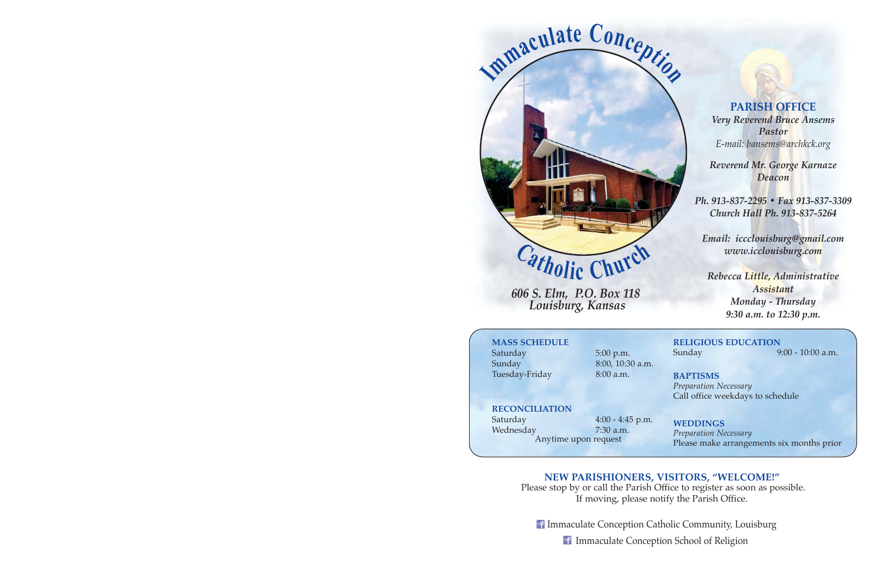

*606 S. Elm, P.O. Box 118 Louisburg, Kansas* 

**PARISH OFFICE** *Very Reverend Bruce Ansems Pastor E-mail: bansems@archkck.org* 

*Reverend Mr. George Karnaze Deacon*

*Ph. 913-837-2295 ï Fax 913-837-3309 Church Hall Ph. 913-837-5264* 

*Email: iccclouisburg@gmail.com www.icclouisburg.com* 

*Rebecca Little, Administrative Assistant Monday - Thursday 9:30 a.m. to 12:30 p.m.* 

# **MASS SCHEDULE**

Saturday 5:00 p.m. Sunday 8:00, 10:30 a.m. Tuesday-Friday 8:00 a.m.

# **RELIGIOUS EDUCATION** Sunday 9:00 - 10:00 a.m.

**BAPTISMS** *Preparation Necessary*  Call office weekdays to schedule

**RECONCILIATION** Saturday 4:00 - 4:45 p.m. Wednesday 7:30 a.m.

Anytime upon request

**WEDDINGS** *Preparation Necessary*  Please make arrangements six months prior

# **NEW PARISHIONERS, VISITORS, "WELCOME!"**

 Please stop by or call the Parish Office to register as soon as possible. If moving, please notify the Parish Office.

**f Immaculate Conception Catholic Community, Louisburg** 

Immaculate Conception School of Religion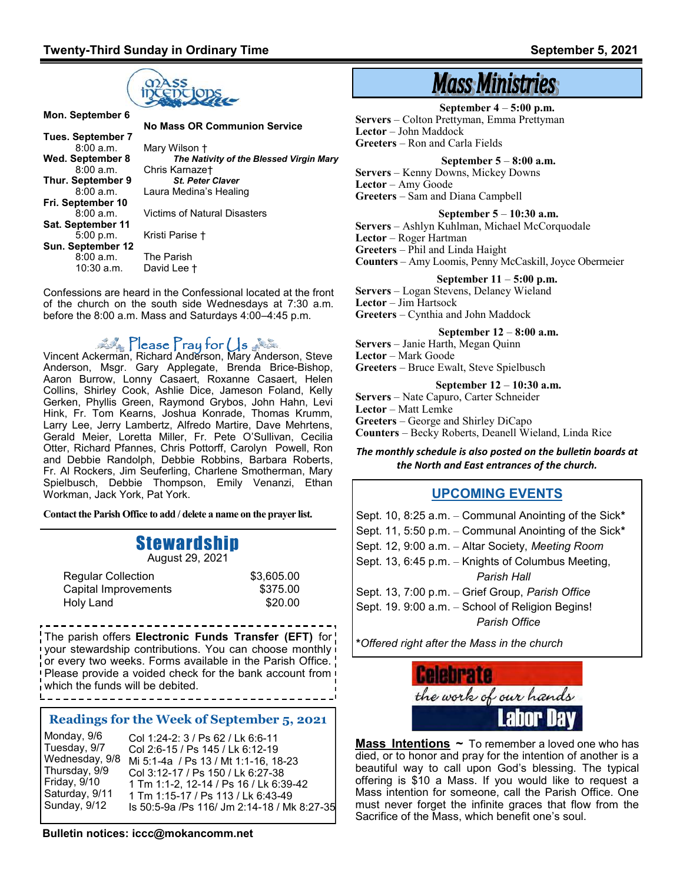

**Tues. September 7**  8:00 a.m. Mary Wilson †<br>Wed. September 8 The Nati **Thur. September 9**<br>8:00 a.m. **Fri. September 10 Sat. September 11** 5:00 p.m. Kristi Parise † **Sun. September 12** 8:00 a.m. The Parish<br>10:30 a.m. David Lee

 **No Mass OR Communion Service September 8**<br>**B:00 a.m.** Chris Karnaze†<br>**B:00 a.m.** Chris Karnaze† **Chris Karnaze†**<br>**8t. Peter Claver** Laura Medina's Healing 8:00 a.m. Victims of Natural Disasters

Confessions are heard in the Confessional located at the front of the church on the south side Wednesdays at 7:30 a.m. before the 8:00 a.m. Mass and Saturdays 4:00–4:45 p.m.

David Lee  $\dagger$ 

# $\Gamma$ lease  $\Gamma$ ray for  $\cup$ s

Vincent Ackerman, Richard Anderson, Mary Anderson, Steve Anderson, Msgr. Gary Applegate, Brenda Brice-Bishop, Aaron Burrow, Lonny Casaert, Roxanne Casaert, Helen Collins, Shirley Cook, Ashlie Dice, Jameson Foland, Kelly Gerken, Phyllis Green, Raymond Grybos, John Hahn, Levi Hink, Fr. Tom Kearns, Joshua Konrade, Thomas Krumm, Larry Lee, Jerry Lambertz, Alfredo Martire, Dave Mehrtens, Gerald Meier, Loretta Miller, Fr. Pete O'Sullivan, Cecilia Otter, Richard Pfannes, Chris Pottorff, Carolyn Powell, Ron and Debbie Randolph, Debbie Robbins, Barbara Roberts, Fr. Al Rockers, Jim Seuferling, Charlene Smotherman, Mary Spielbusch, Debbie Thompson, Emily Venanzi, Ethan Workman, Jack York, Pat York.

**Contact the Parish Office to add / delete a name on the prayer list.**

# Stewardship

August 29, 2021

| <b>Regular Collection</b> | \$3,605.00 |
|---------------------------|------------|
| Capital Improvements      | \$375.00   |
| Holy Land                 | \$20.00    |

The parish offers **Electronic Funds Transfer (EFT)** for your stewardship contributions. You can choose monthly or every two weeks. Forms available in the Parish Office. Please provide a voided check for the bank account from which the funds will be debited. 

### **Readings for the Week of September 5, 2021**

Col 1:24-2: 3 / Ps 62 / Lk 6:6-11 Col 2:6-15 / Ps 145 / Lk 6:12-19 Mi 5:1-4a / Ps 13 / Mt 1:1-16, 18-23 Col 3:12-17 / Ps 150 / Lk 6:27-38 1 Tm 1:1-2, 12-14 / Ps 16 / Lk 6:39-42 1 Tm 1:15-17 / Ps 113 / Lk 6:43-49 Is 50:5-9a /Ps 116/ Jm 2:14-18 / Mk 8:27-35 Monday, 9/6 Tuesday, 9/7 Wednesday, 9/8 Thursday, 9/9 Friday, 9/10 Saturday, 9/11 Sunday, 9/12

**Bulletin notices: iccc@mokancomm.net** 

# **Mass Ministries**

**September 4** – **5:00 p.m. Servers** – Colton Prettyman, Emma Prettyman **Lector** – John Maddock **Greeters** – Ron and Carla Fields

 **September 5** – **8:00 a.m.**

**Servers** – Kenny Downs, Mickey Downs **Lector** – Amy Goode **Greeters** – Sam and Diana Campbell

#### **September 5** – **10:30 a.m.**

**Servers** – Ashlyn Kuhlman, Michael McCorquodale **Lector** – Roger Hartman **Greeters** – Phil and Linda Haight **Counters** – Amy Loomis, Penny McCaskill, Joyce Obermeier

#### **September 11** – **5:00 p.m.**

**Servers** – Logan Stevens, Delaney Wieland **Lector** – Jim Hartsock **Greeters** – Cynthia and John Maddock

 **September 12** – **8:00 a.m.**

**Servers** – Janie Harth, Megan Quinn **Lector** – Mark Goode **Greeters** – Bruce Ewalt, Steve Spielbusch

**September 12** – **10:30 a.m.**

**Servers** – Nate Capuro, Carter Schneider **Lector** – Matt Lemke **Greeters** – George and Shirley DiCapo **Counters** – Becky Roberts, Deanell Wieland, Linda Rice

*The monthly schedule is also posted on the bulletin boards at the North and East entrances of the church.*

## **UPCOMING EVENTS**

Sept. 10, 8:25 a.m. – Communal Anointing of the Sick**\*** Sept. 11, 5:50 p.m. – Communal Anointing of the Sick**\*** Sept. 12, 9:00 a.m. – Altar Society, *Meeting Room* Sept. 13, 6:45 p.m. – Knights of Columbus Meeting, *Parish Hall* Sept. 13, 7:00 p.m. – Grief Group, *Parish Office* Sept. 19. 9:00 a.m. – School of Religion Begins! *Parish Office*

**\****Offered right after the Mass in the church* 



**Mass Intentions ~** To remember a loved one who has died, or to honor and pray for the intention of another is a beautiful way to call upon God's blessing. The typical offering is \$10 a Mass. If you would like to request a Mass intention for someone, call the Parish Office. One must never forget the infinite graces that flow from the Sacrifice of the Mass, which benefit one's soul.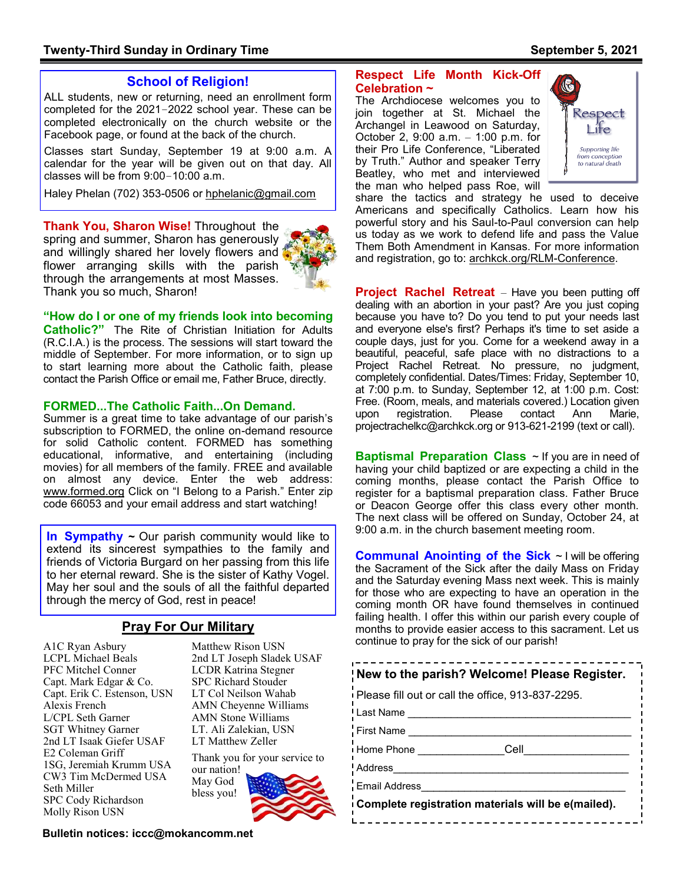# **School of Religion!**

ALL students, new or returning, need an enrollment form completed for the 2021–2022 school year. These can be completed electronically on the church website or the Facebook page, or found at the back of the church.

Classes start Sunday, September 19 at 9:00 a.m. A calendar for the year will be given out on that day. All classes will be from 9:00–10:00 a.m.

Haley Phelan (702) 353-0506 or [hphelanic@gmail.com](mailto:hphelanic@gmail.com) 

**Thank You, Sharon Wise!** Throughout the spring and summer, Sharon has generously and willingly shared her lovely flowers and flower arranging skills with the parish through the arrangements at most Masses. Thank you so much, Sharon!



**"How do I or one of my friends look into becoming Catholic?"** The Rite of Christian Initiation for Adults (R.C.I.A.) is the process. The sessions will start toward the middle of September. For more information, or to sign up to start learning more about the Catholic faith, please contact the Parish Office or email me, Father Bruce, directly.

#### **FORMED...The Catholic Faith...On Demand.**

Summer is a great time to take advantage of our parish's subscription to FORMED, the online on-demand resource for solid Catholic content. FORMED has something educational, informative, and entertaining (including movies) for all members of the family. FREE and available on almost any device. Enter the web address: www.formed.org Click on "I Belong to a Parish." Enter zip code 66053 and your email address and start watching!

**In Sympathy** ~ Our parish community would like to 9:00 a.m. in the church basement meeting room. extend its sincerest sympathies to the family and friends of Victoria Burgard on her passing from this life to her eternal reward. She is the sister of Kathy Vogel. May her soul and the souls of all the faithful departed through the mercy of God, rest in peace!

## **Pray For Our Military**

A1C Ryan Asbury LCPL Michael Beals PFC Mitchel Conner Capt. Mark Edgar & Co. Capt. Erik C. Estenson, USN Alexis French L/CPL Seth Garner SGT Whitney Garner 2nd LT Isaak Giefer USAF E2 Coleman Griff 1SG, Jeremiah Krumm USA CW3 Tim McDermed USA Seth Miller SPC Cody Richardson Molly Rison USN

Matthew Rison USN 2nd LT Joseph Sladek USAF LCDR Katrina Stegner SPC Richard Stouder LT Col Neilson Wahab AMN Cheyenne Williams AMN Stone Williams LT. Ali Zalekian, USN LT Matthew Zeller

Thank you for your service to our nation! May God bless you!



**Bulletin notices: iccc@mokancomm.net** 

## **Respect Life Month Kick-Off Celebration ~**

The Archdiocese welcomes you to join together at St. Michael the Archangel in Leawood on Saturday, October 2, 9:00 a.m. – 1:00 p.m. for their Pro Life Conference, "Liberated by Truth." Author and speaker Terry Beatley, who met and interviewed the man who helped pass Roe, will



share the tactics and strategy he used to deceive Americans and specifically Catholics. Learn how his powerful story and his Saul-to-Paul conversion can help us today as we work to defend life and pass the Value Them Both Amendment in Kansas. For more information and registration, go to: archkck.org/RLM-Conference.

**Project Rachel Retreat** – Have you been putting off dealing with an abortion in your past? Are you just coping because you have to? Do you tend to put your needs last and everyone else's first? Perhaps it's time to set aside a couple days, just for you. Come for a weekend away in a beautiful, peaceful, safe place with no distractions to a Project Rachel Retreat. No pressure, no judgment, completely confidential. Dates/Times: Friday, September 10, at 7:00 p.m. to Sunday, September 12, at 1:00 p.m. Cost: Free. (Room, meals, and materials covered.) Location given upon registration. Please contact Ann Marie, projectrachelkc@archkck.org or 913-621-2199 (text or call).

**Baptismal Preparation Class** ~ If you are in need of having your child baptized or are expecting a child in the coming months, please contact the Parish Office to register for a baptismal preparation class. Father Bruce or Deacon George offer this class every other month. The next class will be offered on Sunday, October 24, at

**Communal Anointing of the Sick** ~ I will be offering the Sacrament of the Sick after the daily Mass on Friday and the Saturday evening Mass next week. This is mainly for those who are expecting to have an operation in the coming month OR have found themselves in continued failing health. I offer this within our parish every couple of months to provide easier access to this sacrament. Let us continue to pray for the sick of our parish!

| New to the parish? Welcome! Please Register.       |  |  |  |  |
|----------------------------------------------------|--|--|--|--|
| Please fill out or call the office, 913-837-2295.  |  |  |  |  |
| Last Name                                          |  |  |  |  |
| <b>First Name</b>                                  |  |  |  |  |
| Cell<br>Home Phone                                 |  |  |  |  |
| Address                                            |  |  |  |  |
| <b>Email Address</b>                               |  |  |  |  |
| Complete registration materials will be e(mailed). |  |  |  |  |
|                                                    |  |  |  |  |